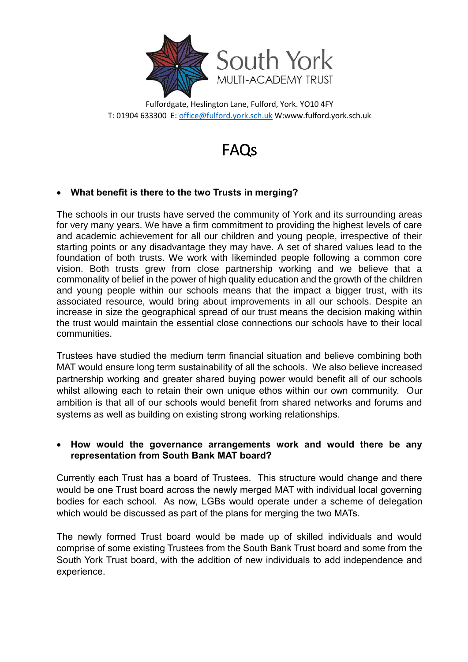

Fulfordgate, Heslington Lane, Fulford, York. YO10 4FY T: 01904 633300 E[: office@fulford.york.sch.uk](mailto:office@fulford.york.sch.uk) W:www.fulford.york.sch.uk

# FAQs

# **What benefit is there to the two Trusts in merging?**

The schools in our trusts have served the community of York and its surrounding areas for very many years. We have a firm commitment to providing the highest levels of care and academic achievement for all our children and young people, irrespective of their starting points or any disadvantage they may have. A set of shared values lead to the foundation of both trusts. We work with likeminded people following a common core vision. Both trusts grew from close partnership working and we believe that a commonality of belief in the power of high quality education and the growth of the children and young people within our schools means that the impact a bigger trust, with its associated resource, would bring about improvements in all our schools. Despite an increase in size the geographical spread of our trust means the decision making within the trust would maintain the essential close connections our schools have to their local communities.

Trustees have studied the medium term financial situation and believe combining both MAT would ensure long term sustainability of all the schools. We also believe increased partnership working and greater shared buying power would benefit all of our schools whilst allowing each to retain their own unique ethos within our own community. Our ambition is that all of our schools would benefit from shared networks and forums and systems as well as building on existing strong working relationships.

### **How would the governance arrangements work and would there be any representation from South Bank MAT board?**

Currently each Trust has a board of Trustees. This structure would change and there would be one Trust board across the newly merged MAT with individual local governing bodies for each school. As now, LGBs would operate under a scheme of delegation which would be discussed as part of the plans for merging the two MATs.

The newly formed Trust board would be made up of skilled individuals and would comprise of some existing Trustees from the South Bank Trust board and some from the South York Trust board, with the addition of new individuals to add independence and experience.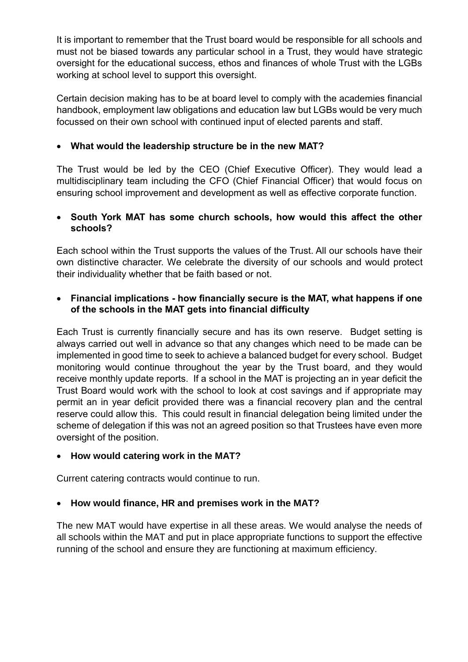It is important to remember that the Trust board would be responsible for all schools and must not be biased towards any particular school in a Trust, they would have strategic oversight for the educational success, ethos and finances of whole Trust with the LGBs working at school level to support this oversight.

Certain decision making has to be at board level to comply with the academies financial handbook, employment law obligations and education law but LGBs would be very much focussed on their own school with continued input of elected parents and staff.

# **What would the leadership structure be in the new MAT?**

The Trust would be led by the CEO (Chief Executive Officer). They would lead a multidisciplinary team including the CFO (Chief Financial Officer) that would focus on ensuring school improvement and development as well as effective corporate function.

### **South York MAT has some church schools, how would this affect the other schools?**

Each school within the Trust supports the values of the Trust. All our schools have their own distinctive character. We celebrate the diversity of our schools and would protect their individuality whether that be faith based or not.

## **Financial implications - how financially secure is the MAT, what happens if one of the schools in the MAT gets into financial difficulty**

Each Trust is currently financially secure and has its own reserve. Budget setting is always carried out well in advance so that any changes which need to be made can be implemented in good time to seek to achieve a balanced budget for every school. Budget monitoring would continue throughout the year by the Trust board, and they would receive monthly update reports. If a school in the MAT is projecting an in year deficit the Trust Board would work with the school to look at cost savings and if appropriate may permit an in year deficit provided there was a financial recovery plan and the central reserve could allow this. This could result in financial delegation being limited under the scheme of delegation if this was not an agreed position so that Trustees have even more oversight of the position.

## **How would catering work in the MAT?**

Current catering contracts would continue to run.

## **How would finance, HR and premises work in the MAT?**

The new MAT would have expertise in all these areas. We would analyse the needs of all schools within the MAT and put in place appropriate functions to support the effective running of the school and ensure they are functioning at maximum efficiency.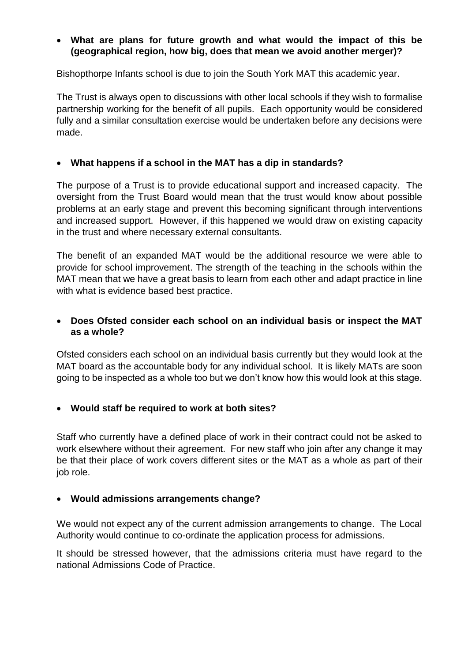## **What are plans for future growth and what would the impact of this be (geographical region, how big, does that mean we avoid another merger)?**

Bishopthorpe Infants school is due to join the South York MAT this academic year.

The Trust is always open to discussions with other local schools if they wish to formalise partnership working for the benefit of all pupils. Each opportunity would be considered fully and a similar consultation exercise would be undertaken before any decisions were made.

### **What happens if a school in the MAT has a dip in standards?**

The purpose of a Trust is to provide educational support and increased capacity. The oversight from the Trust Board would mean that the trust would know about possible problems at an early stage and prevent this becoming significant through interventions and increased support. However, if this happened we would draw on existing capacity in the trust and where necessary external consultants.

The benefit of an expanded MAT would be the additional resource we were able to provide for school improvement. The strength of the teaching in the schools within the MAT mean that we have a great basis to learn from each other and adapt practice in line with what is evidence based best practice.

## **Does Ofsted consider each school on an individual basis or inspect the MAT as a whole?**

Ofsted considers each school on an individual basis currently but they would look at the MAT board as the accountable body for any individual school. It is likely MATs are soon going to be inspected as a whole too but we don't know how this would look at this stage.

#### **Would staff be required to work at both sites?**

Staff who currently have a defined place of work in their contract could not be asked to work elsewhere without their agreement. For new staff who join after any change it may be that their place of work covers different sites or the MAT as a whole as part of their job role.

#### **Would admissions arrangements change?**

We would not expect any of the current admission arrangements to change. The Local Authority would continue to co-ordinate the application process for admissions.

It should be stressed however, that the admissions criteria must have regard to the national Admissions Code of Practice.